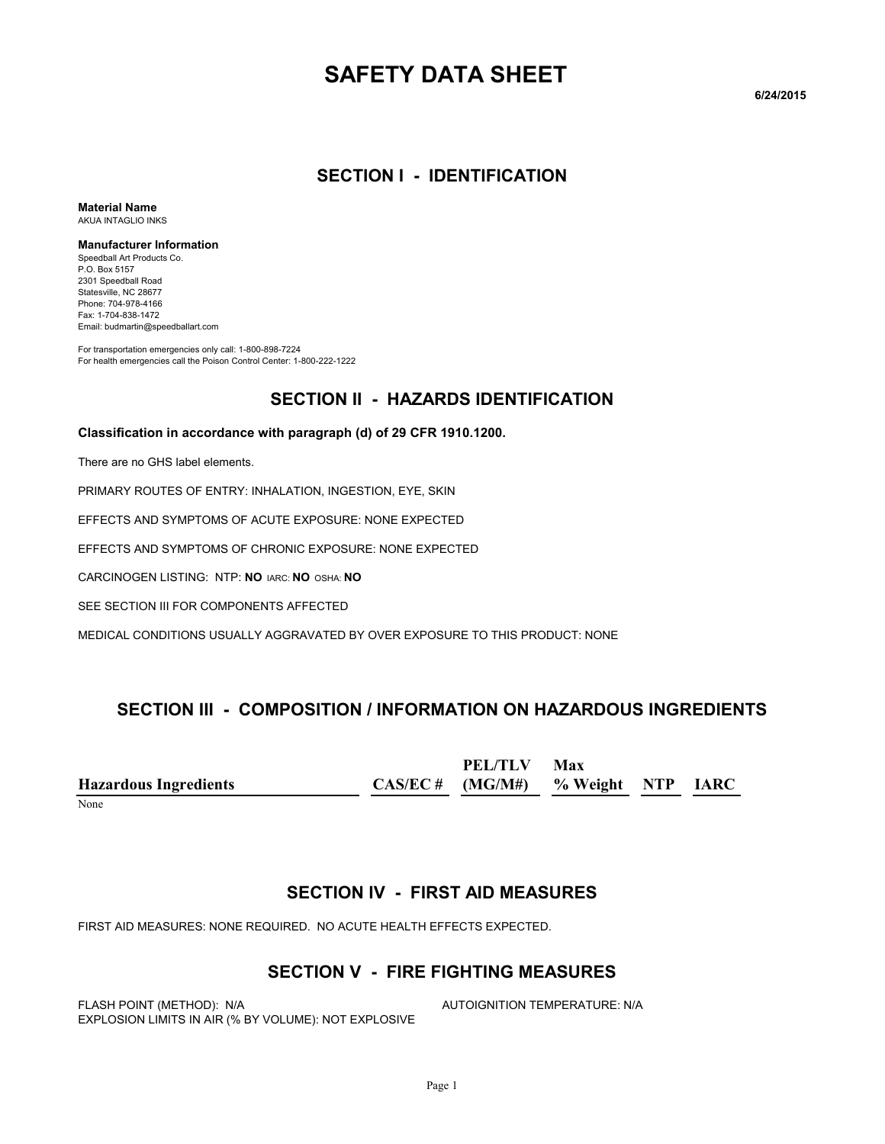# **SAFETY DATA SHEET**

**6/24/2015**

#### **SECTION I - IDENTIFICATION**

**Material Name** AKUA INTAGLIO INKS

#### **Manufacturer Information**

Speedball Art Products Co. P.O. Box 5157 2301 Speedball Road Statesville, NC 28677 Phone: 704-978-4166 Fax: 1-704-838-1472 Email: budmartin@speedballart.com

For transportation emergencies only call: 1-800-898-7224 For health emergencies call the Poison Control Center: 1-800-222-1222

#### **SECTION II - HAZARDS IDENTIFICATION**

#### **Classification in accordance with paragraph (d) of 29 CFR 1910.1200.**

There are no GHS label elements.

PRIMARY ROUTES OF ENTRY: INHALATION, INGESTION, EYE, SKIN

EFFECTS AND SYMPTOMS OF ACUTE EXPOSURE: NONE EXPECTED

EFFECTS AND SYMPTOMS OF CHRONIC EXPOSURE: NONE EXPECTED

CARCINOGEN LISTING: NTP: **NO** IARC: **NO** OSHA: **NO**

SEE SECTION III FOR COMPONENTS AFFECTED

MEDICAL CONDITIONS USUALLY AGGRAVATED BY OVER EXPOSURE TO THIS PRODUCT: NONE

#### **SECTION III - COMPOSITION / INFORMATION ON HAZARDOUS INGREDIENTS**

**Hazardous Ingredients CAS/EC # PEL/TLV (MG/M#) Max % Weight NTP IARC**

None

#### **SECTION IV - FIRST AID MEASURES**

FIRST AID MEASURES: NONE REQUIRED. NO ACUTE HEALTH EFFECTS EXPECTED.

#### **SECTION V - FIRE FIGHTING MEASURES**

FLASH POINT (METHOD): N/A **AUTOIGNITION TEMPERATURE: N/A** EXPLOSION LIMITS IN AIR (% BY VOLUME): NOT EXPLOSIVE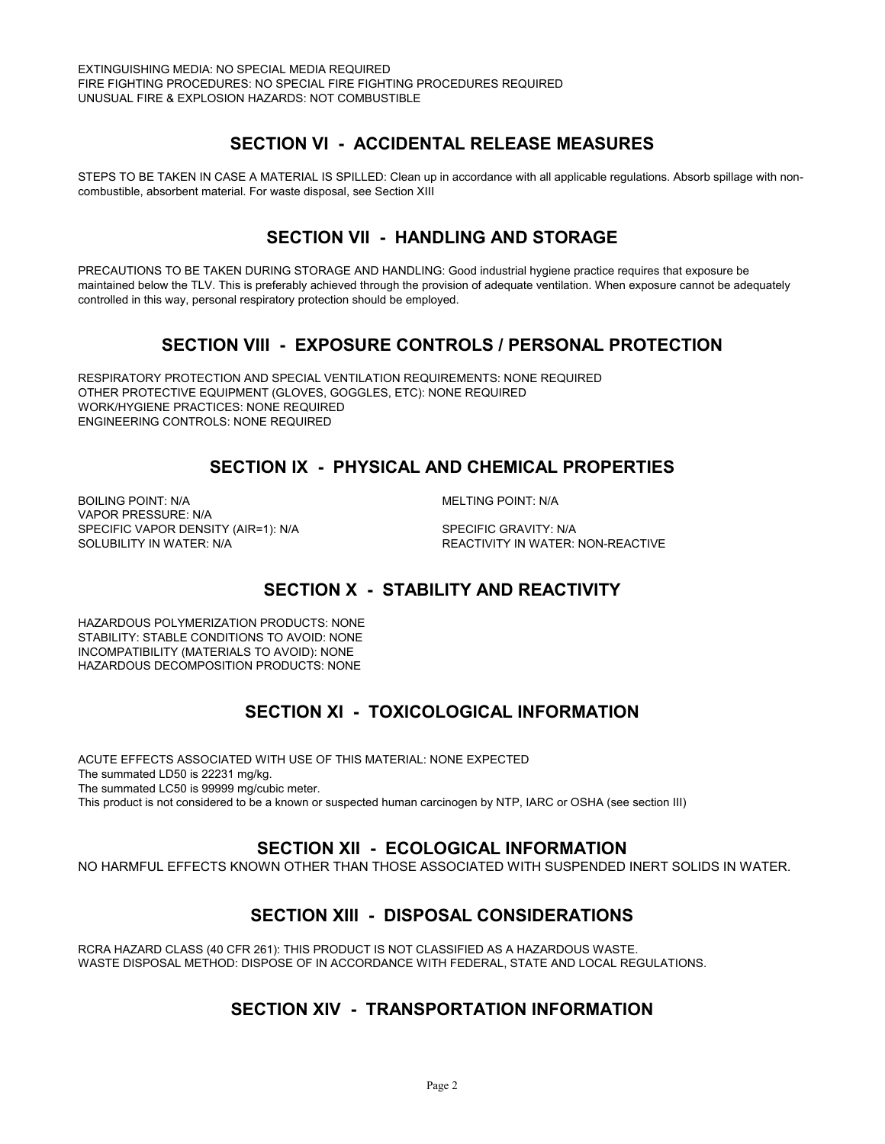## **SECTION VI - ACCIDENTAL RELEASE MEASURES**

STEPS TO BE TAKEN IN CASE A MATERIAL IS SPILLED: Clean up in accordance with all applicable regulations. Absorb spillage with noncombustible, absorbent material. For waste disposal, see Section XIII

# **SECTION VII - HANDLING AND STORAGE**

PRECAUTIONS TO BE TAKEN DURING STORAGE AND HANDLING: Good industrial hygiene practice requires that exposure be maintained below the TLV. This is preferably achieved through the provision of adequate ventilation. When exposure cannot be adequately controlled in this way, personal respiratory protection should be employed.

### **SECTION VIII - EXPOSURE CONTROLS / PERSONAL PROTECTION**

RESPIRATORY PROTECTION AND SPECIAL VENTILATION REQUIREMENTS: NONE REQUIRED OTHER PROTECTIVE EQUIPMENT (GLOVES, GOGGLES, ETC): NONE REQUIRED WORK/HYGIENE PRACTICES: NONE REQUIRED ENGINEERING CONTROLS: NONE REQUIRED

# **SECTION IX - PHYSICAL AND CHEMICAL PROPERTIES**

BOILING POINT: N/A **MELTING POINT: N/A** VAPOR PRESSURE: N/A SPECIFIC VAPOR DENSITY (AIR=1): N/A SPECIFIC GRAVITY: N/A

SOLUBILITY IN WATER: N/A  $R$  and the second term of the reactivity in water: non-reactive

# **SECTION X - STABILITY AND REACTIVITY**

HAZARDOUS POLYMERIZATION PRODUCTS: NONE STABILITY: STABLE CONDITIONS TO AVOID: NONE INCOMPATIBILITY (MATERIALS TO AVOID): NONE HAZARDOUS DECOMPOSITION PRODUCTS: NONE

# **SECTION XI - TOXICOLOGICAL INFORMATION**

ACUTE EFFECTS ASSOCIATED WITH USE OF THIS MATERIAL: NONE EXPECTED The summated LD50 is 22231 mg/kg. The summated LC50 is 99999 mg/cubic meter. This product is not considered to be a known or suspected human carcinogen by NTP, IARC or OSHA (see section III)

### **SECTION XII - ECOLOGICAL INFORMATION**

NO HARMFUL EFFECTS KNOWN OTHER THAN THOSE ASSOCIATED WITH SUSPENDED INERT SOLIDS IN WATER.

# **SECTION XIII - DISPOSAL CONSIDERATIONS**

RCRA HAZARD CLASS (40 CFR 261): THIS PRODUCT IS NOT CLASSIFIED AS A HAZARDOUS WASTE. WASTE DISPOSAL METHOD: DISPOSE OF IN ACCORDANCE WITH FEDERAL, STATE AND LOCAL REGULATIONS.

### **SECTION XIV - TRANSPORTATION INFORMATION**